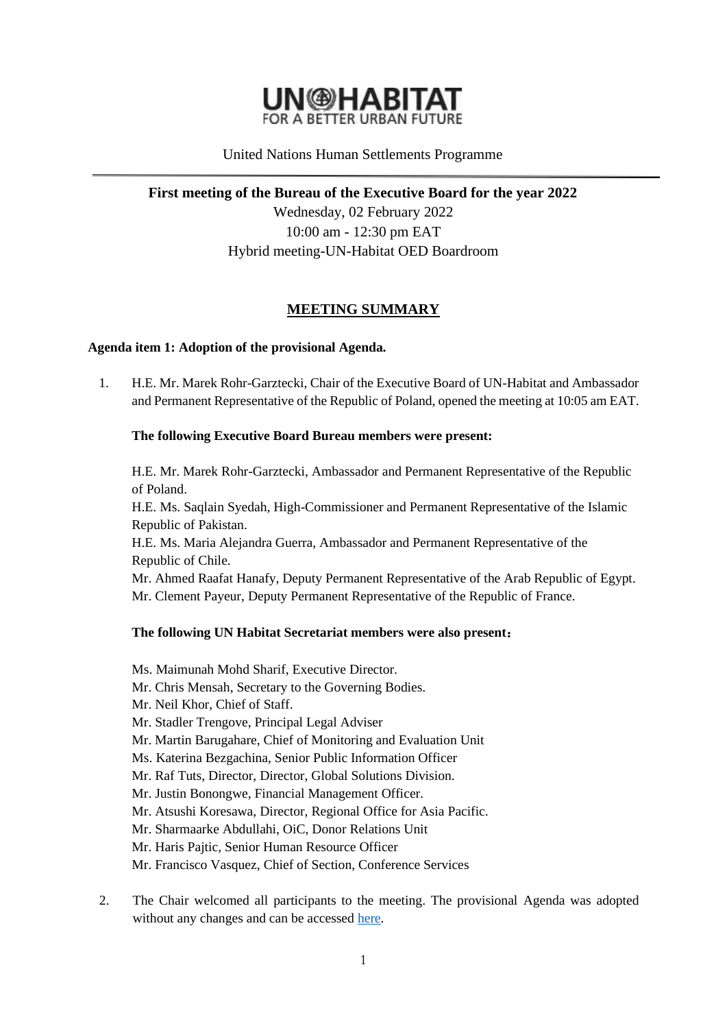

# United Nations Human Settlements Programme

**First meeting of the Bureau of the Executive Board for the year 2022**

Wednesday, 02 February 2022 10:00 am - 12:30 pm EAT Hybrid meeting-UN-Habitat OED Boardroom

# **MEETING SUMMARY**

### **Agenda item 1: Adoption of the provisional Agenda.**

1. H.E. Mr. Marek Rohr-Garztecki, Chair of the Executive Board of UN-Habitat and Ambassador and Permanent Representative of the Republic of Poland, opened the meeting at 10:05 am EAT.

### **The following Executive Board Bureau members were present:**

H.E. Mr. Marek Rohr-Garztecki, Ambassador and Permanent Representative of the Republic of Poland.

H.E. Ms. Saqlain Syedah, High-Commissioner and Permanent Representative of the Islamic Republic of Pakistan.

H.E. Ms. Maria Alejandra Guerra, Ambassador and Permanent Representative of the Republic of Chile.

Mr. Ahmed Raafat Hanafy, Deputy Permanent Representative of the Arab Republic of Egypt. Mr. Clement Payeur, Deputy Permanent Representative of the Republic of France.

#### **The following UN Habitat Secretariat members were also present**:

- Ms. Maimunah Mohd Sharif, Executive Director.
- Mr. Chris Mensah, Secretary to the Governing Bodies.
- Mr. Neil Khor, Chief of Staff.
- Mr. Stadler Trengove, Principal Legal Adviser
- Mr. Martin Barugahare, Chief of Monitoring and Evaluation Unit
- Ms. Katerina Bezgachina, Senior Public Information Officer
- Mr. Raf Tuts, Director, Director, Global Solutions Division.
- Mr. Justin Bonongwe, Financial Management Officer.
- Mr. Atsushi Koresawa, Director, Regional Office for Asia Pacific.
- Mr. Sharmaarke Abdullahi, OiC, Donor Relations Unit
- Mr. Haris Pajtic, Senior Human Resource Officer
- Mr. Francisco Vasquez, Chief of Section, Conference Services
- 2. The Chair welcomed all participants to the meeting. The provisional Agenda was adopted without any changes and can be accessed [here.](https://unhabitat.org/sites/default/files/2022/01/proposed_provisional_agenda_-_bureau_meeting.pdf)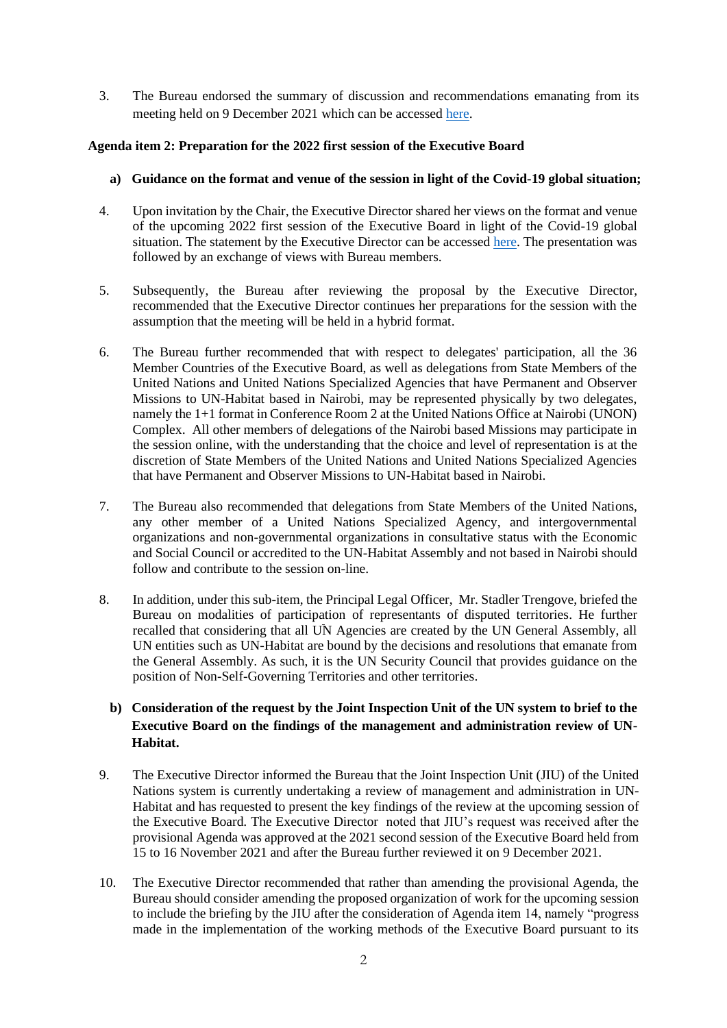3. The Bureau endorsed the summary of discussion and recommendations emanating from its meeting held on 9 December 2021 which can be accessed [here.](https://unhabitat.org/sites/default/files/2021/12/summary_discussions_emanating_from_the_tenth_bureau_meeting.pdf)

### **Agenda item 2: Preparation for the 2022 first session of the Executive Board**

- **a) Guidance on the format and venue of the session in light of the Covid-19 global situation;**
- 4. Upon invitation by the Chair, the Executive Director shared her views on the format and venue of the upcoming 2022 first session of the Executive Board in light of the Covid-19 global situation. The statement by the Executive Director can be accessed [here.](https://unhabitat.org/sites/default/files/2022/02/00._ed_statement_to_the_bureau_2_february_2022_version_27jan2022_.pdf) The presentation was followed by an exchange of views with Bureau members.
- 5. Subsequently, the Bureau after reviewing the proposal by the Executive Director, recommended that the Executive Director continues her preparations for the session with the assumption that the meeting will be held in a hybrid format.
- 6. The Bureau further recommended that with respect to delegates' participation, all the 36 Member Countries of the Executive Board, as well as delegations from State Members of the United Nations and United Nations Specialized Agencies that have Permanent and Observer Missions to UN-Habitat based in Nairobi, may be represented physically by two delegates, namely the 1+1 format in Conference Room 2 at the United Nations Office at Nairobi (UNON) Complex. All other members of delegations of the Nairobi based Missions may participate in the session online, with the understanding that the choice and level of representation is at the discretion of State Members of the United Nations and United Nations Specialized Agencies that have Permanent and Observer Missions to UN-Habitat based in Nairobi.
- 7. The Bureau also recommended that delegations from State Members of the United Nations, any other member of a United Nations Specialized Agency, and intergovernmental organizations and non-governmental organizations in consultative status with the Economic and Social Council or accredited to the UN-Habitat Assembly and not based in Nairobi should follow and contribute to the session on-line.
- 8. In addition, under this sub-item, the Principal Legal Officer, Mr. Stadler Trengove, briefed the Bureau on modalities of participation of representants of disputed territories. He further recalled that considering that all UN Agencies are created by the UN General Assembly, all UN entities such as UN-Habitat are bound by the decisions and resolutions that emanate from the General Assembly. As such, it is the UN Security Council that provides guidance on the position of Non-Self-Governing Territories and other territories.
	- **b) Consideration of the request by the Joint Inspection Unit of the UN system to brief to the Executive Board on the findings of the management and administration review of UN-Habitat.**
- 9. The Executive Director informed the Bureau that the Joint Inspection Unit (JIU) of the United Nations system is currently undertaking a review of management and administration in UN-Habitat and has requested to present the key findings of the review at the upcoming session of the Executive Board. The Executive Director noted that JIU's request was received after the provisional Agenda was approved at the 2021 second session of the Executive Board held from 15 to 16 November 2021 and after the Bureau further reviewed it on 9 December 2021.
- 10. The Executive Director recommended that rather than amending the provisional Agenda, the Bureau should consider amending the proposed organization of work for the upcoming session to include the briefing by the JIU after the consideration of Agenda item 14, namely "progress made in the implementation of the working methods of the Executive Board pursuant to its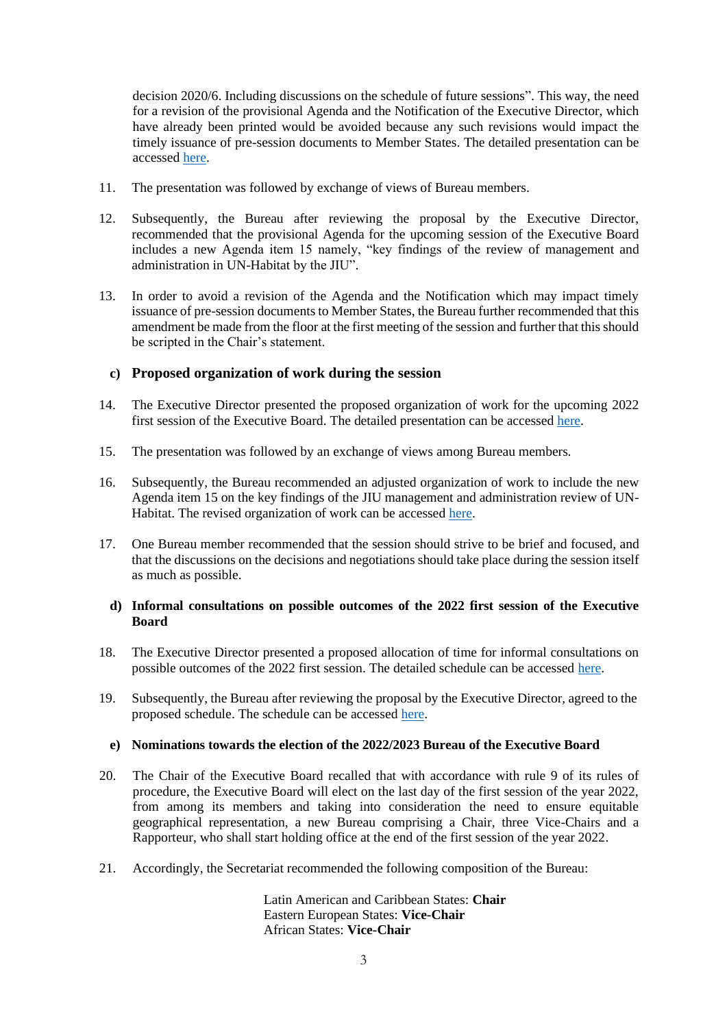decision 2020/6. Including discussions on the schedule of future sessions". This way, the need for a revision of the provisional Agenda and the Notification of the Executive Director, which have already been printed would be avoided because any such revisions would impact the timely issuance of pre-session documents to Member States. The detailed presentation can be accessed [here.](https://unhabitat.org/sites/default/files/2022/02/00._ed_statement_to_the_bureau_2_february_2022_version_27jan2022_.pdf)

- 11. The presentation was followed by exchange of views of Bureau members.
- 12. Subsequently, the Bureau after reviewing the proposal by the Executive Director, recommended that the provisional Agenda for the upcoming session of the Executive Board includes a new Agenda item 15 namely, "key findings of the review of management and administration in UN-Habitat by the JIU".
- 13. In order to avoid a revision of the Agenda and the Notification which may impact timely issuance of pre-session documents to Member States, the Bureau further recommended that this amendment be made from the floor at the first meeting of the session and further that this should be scripted in the Chair's statement.

# **c) Proposed organization of work during the session**

- 14. The Executive Director presented the proposed organization of work for the upcoming 2022 first session of the Executive Board. The detailed presentation can be accessed [here.](https://unhabitat.org/sites/default/files/2022/02/0._ed_presentation_bureau_meeting_2_february_2022_draft_27012022.pdf)
- 15. The presentation was followed by an exchange of views among Bureau members.
- 16. Subsequently, the Bureau recommended an adjusted organization of work to include the new Agenda item 15 on the key findings of the JIU management and administration review of UN-Habitat. The revised organization of work can be accessed [here.](https://unhabitat.org/sites/default/files/2022/02/orga_of_work_as_recommended_by_bureau.pdf)
- 17. One Bureau member recommended that the session should strive to be brief and focused, and that the discussions on the decisions and negotiations should take place during the session itself as much as possible.

#### **d) Informal consultations on possible outcomes of the 2022 first session of the Executive Board**

- 18. The Executive Director presented a proposed allocation of time for informal consultations on possible outcomes of the 2022 first session. The detailed schedule can be accessed [here.](https://unhabitat.org/sites/default/files/2022/02/0._ed_presentation_bureau_meeting_2_february_2022_draft_27012022.pdf)
- 19. Subsequently, the Bureau after reviewing the proposal by the Executive Director, agreed to the proposed schedule. The schedule can be accessed [here.](https://unhabitat.org/sites/default/files/2022/02/0._ed_presentation_bureau_meeting_2_february_2022_draft_27012022.pdf)

#### **e) Nominations towards the election of the 2022/2023 Bureau of the Executive Board**

- 20. The Chair of the Executive Board recalled that with accordance with rule 9 of its rules of procedure, the Executive Board will elect on the last day of the first session of the year 2022, from among its members and taking into consideration the need to ensure equitable geographical representation, a new Bureau comprising a Chair, three Vice-Chairs and a Rapporteur, who shall start holding office at the end of the first session of the year 2022.
- 21. Accordingly, the Secretariat recommended the following composition of the Bureau:

Latin American and Caribbean States: **Chair**  Eastern European States: **Vice-Chair** African States: **Vice-Chair**